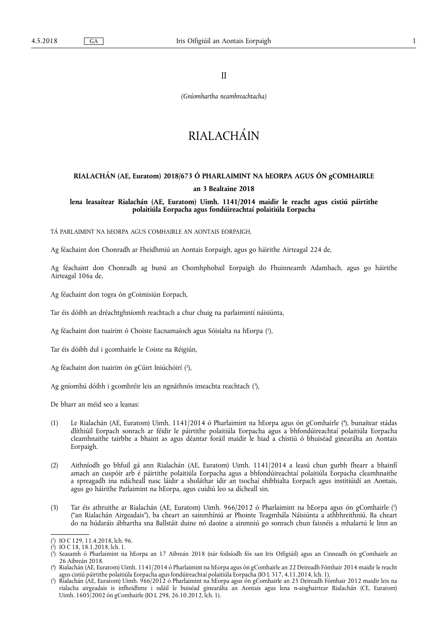II

*(Gníomhartha neamhreachtacha)* 

# RIALACHÁIN

## **RIALACHÁN (AE, Euratom) 2018/673 Ó PHARLAIMINT NA hEORPA AGUS ÓN gCOMHAIRLE an 3 Bealtaine 2018**

**lena leasaítear Rialachán (AE, Euratom) Uimh. 1141/2014 maidir le reacht agus cistiú páirtithe polaitiúla Eorpacha agus fondúireachtaí polaitiúla Eorpacha** 

TÁ PARLAIMINT NA hEORPA AGUS COMHAIRLE AN AONTAIS EORPAIGH,

Ag féachaint don Chonradh ar Fheidhmiú an Aontais Eorpaigh, agus go háirithe Airteagal 224 de,

Ag féachaint don Chonradh ag bunú an Chomhphobail Eorpaigh do Fhuinneamh Adamhach, agus go háirithe Airteagal 106a de,

Ag féachaint don togra ón gCoimisiún Eorpach,

Tar éis dóibh an dréachtghníomh reachtach a chur chuig na parlaimintí náisiúnta,

Ag féachaint don tuairim ó Choiste Eacnamaíoch agus Sóisialta na hEorpa ( 1 ),

Tar éis dóibh dul i gcomhairle le Coiste na Réigiún,

Ag féachaint don tuairim ón gCúirt Iniúchóirí (?),

Ag gníomhú dóibh i gcomhréir leis an ngnáthnós imeachta reachtach ( 3 ),

De bharr an méid seo a leanas:

- (1) Le Rialachán (AE, Euratom) Uimh. 1141/2014 ó Pharlaimint na hEorpa agus ón gComhairle ( 4 ), bunaítear stádas dlíthiúil Eorpach sonrach ar féidir le páirtithe polaitiúla Eorpacha agus a bhfondúireachtaí polaitiúla Eorpacha cleamhnaithe tairbhe a bhaint as agus déantar foráil maidir le hiad a chistiú ó bhuiséad ginearálta an Aontais Eorpaigh.
- (2) Aithníodh go bhfuil gá ann Rialachán (AE, Euratom) Uimh. 1141/2014 a leasú chun gurbh fhearr a bhainfí amach an cuspóir arb é páirtithe polaitiúla Eorpacha agus a bhfondúireachtaí polaitiúla Eorpacha cleamhnaithe a spreagadh ina ndícheall nasc láidir a sholáthar idir an tsochaí shibhialta Eorpach agus institiúidí an Aontais, agus go háirithe Parlaimint na hEorpa, agus cuidiú leo sa dícheall sin.
- (3) Tar éis athruithe ar Rialachán (AE, Euratom) Uimh. 966/2012 ó Pharlaimint na hEorpa agus ón gComhairle ( 5 ) ("an Rialachán Airgeadais"), ba cheart an sainmhíniú ar Phointe Teagmhála Náisiúnta a athbhreithniú. Ba cheart do na húdaráis ábhartha sna Ballstáit duine nó daoine a ainmniú go sonrach chun faisnéis a mhalartú le linn an

<sup>(</sup> 1 ) IO C 129, 11.4.2018, lch. 96.

<sup>(</sup> 2 ) IO C 18, 18.1.2018, lch. 1.

<sup>(</sup> 3 ) Seasamh ó Pharlaimint na hEorpa an 17 Aibreán 2018 (nár foilsíodh fós san Iris Oifigiúil) agus an Cinneadh ón gComhairle an 26 Aibreán 2018.

<sup>(</sup> 4 ) Rialachán (AE, Euratom) Uimh. 1141/2014 ó Pharlaimint na hEorpa agus ón gComhairle an 22 Deireadh Fómhair 2014 maidir le reacht agus cistiú páirtithe polaitiúla Eorpacha agus fondúireachtaí polaitiúla Eorpacha (IO L 317, 4.11.2014, lch. 1).

<sup>(</sup> 5 ) Rialachán (AE, Euratom) Uimh. 966/2012 ó Pharlaimint na hEorpa agus ón gComhairle an 25 Deireadh Fómhair 2012 maidir leis na rialacha airgeadais is infheidhme i ndáil le buiséad ginearálta an Aontais agus lena n‑aisghairtear Rialachán (CE, Euratom) Uimh. 1605/2002 ón gComhairle (IO L 298, 26.10.2012, lch. 1).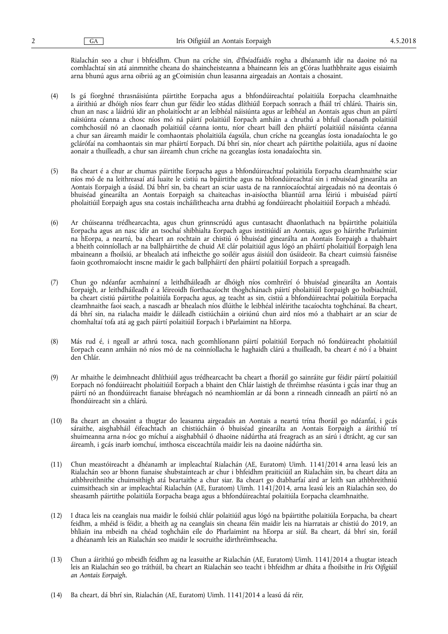Rialachán seo a chur i bhfeidhm. Chun na críche sin, d'fhéadfaidís rogha a dhéanamh idir na daoine nó na comhlachtaí sin atá ainmnithe cheana do shaincheisteanna a bhaineann leis an gCóras luathbhraite agus eisiaimh arna bhunú agus arna oibriú ag an gCoimisiún chun leasanna airgeadais an Aontais a chosaint.

- (4) Is gá fíorghné thrasnáisiúnta páirtithe Eorpacha agus a bhfondúireachtaí polaitiúla Eorpacha cleamhnaithe a áirithiú ar dhóigh níos fearr chun gur féidir leo stádas dlíthiúil Eorpach sonrach a fháil trí chlárú. Thairis sin, chun an nasc a láidriú idir an pholaitíocht ar an leibhéal náisiúnta agus ar leibhéal an Aontais agus chun an páirtí náisiúnta céanna a chosc níos mó ná páirtí polaitiúil Eorpach amháin a chruthú a bhfuil claonadh polaitiúil comhchosúil nó an claonadh polaitiúil céanna iontu, níor cheart baill den pháirtí polaitiúil náisiúnta céanna a chur san áireamh maidir le comhaontais pholaitiúla éagsúla, chun críche na gceanglas íosta ionadaíochta le go gclárófaí na comhaontais sin mar pháirtí Eorpach. Dá bhrí sin, níor cheart ach páirtithe polaitiúla, agus ní daoine aonair a thuilleadh, a chur san áireamh chun críche na gceanglas íosta ionadaíochta sin.
- (5) Ba cheart é a chur ar chumas páirtithe Eorpacha agus a bhfondúireachtaí polaitiúla Eorpacha cleamhnaithe sciar níos mó de na leithreasaí atá luaite le cistiú na bpáirtithe agus na bhfondúireachtaí sin i mbuiséad ginearálta an Aontais Eorpaigh a úsáid. Dá bhrí sin, ba cheart an sciar uasta de na ranníocaíochtaí airgeadais nó na deontais ó bhuiséad ginearálta an Aontais Eorpaigh sa chaiteachas in-aisíoctha bliantúil arna léiriú i mbuiséad páirtí pholaitiúil Eorpaigh agus sna costais incháilitheacha arna dtabhú ag fondúireacht pholaitiúil Eorpach a mhéadú.
- (6) Ar chúiseanna trédhearcachta, agus chun grinnscrúdú agus cuntasacht dhaonlathach na bpáirtithe polaitiúla Eorpacha agus an nasc idir an tsochaí shibhialta Eorpach agus institiúidí an Aontais, agus go háirithe Parlaimint na hEorpa, a neartú, ba cheart an rochtain ar chistiú ó bhuiséad ginearálta an Aontais Eorpaigh a thabhairt a bheith coinníollach ar na ballpháirtithe de chuid AE clár polaitiúil agus lógó an pháirtí pholaitiúil Eorpaigh lena mbaineann a fhoilsiú, ar bhealach atá infheicthe go soiléir agus áisiúil don úsáideoir. Ba cheart cuimsiú faisnéise faoin gcothromaíocht inscne maidir le gach ballpháirtí den pháirtí polaitiúil Eorpach a spreagadh.
- (7) Chun go ndéanfar acmhainní a leithdháileadh ar dhóigh níos comhréirí ó bhuiséad ginearálta an Aontais Eorpaigh, ar leithdháileadh é a léireoidh fíorthacaíocht thoghchánach páirtí pholaitiúil Eorpaigh go hoibiachtúil, ba cheart cistiú páirtithe polaitiúla Eorpacha agus, ag teacht as sin, cistiú a bhfondúireachtaí polaitiúla Eorpacha cleamhnaithe faoi seach, a nascadh ar bhealach níos dlúithe le leibhéal inléirithe tacaíochta toghchánaí. Ba cheart, dá bhrí sin, na rialacha maidir le dáileadh cistiúcháin a oiriúnú chun aird níos mó a thabhairt ar an sciar de chomhaltaí tofa atá ag gach páirtí polaitiúil Eorpach i bParlaimint na hEorpa.
- (8) Más rud é, i ngeall ar athrú tosca, nach gcomhlíonann páirtí polaitiúil Eorpach nó fondúireacht pholaitiúil Eorpach ceann amháin nó níos mó de na coinníollacha le haghaidh clárú a thuilleadh, ba cheart é nó í a bhaint den Chlár.
- (9) Ar mhaithe le deimhneacht dhlíthiúil agus trédhearcacht ba cheart a fhoráil go sainráite gur féidir páirtí polaitiúil Eorpach nó fondúireacht pholaitiúil Eorpach a bhaint den Chlár laistigh de thréimhse réasúnta i gcás inar thug an páirtí nó an fhondúireacht fianaise bhréagach nó neamhiomlán ar dá bonn a rinneadh cinneadh an páirtí nó an fhondúireacht sin a chlárú.
- (10) Ba cheart an chosaint a thugtar do leasanna airgeadais an Aontais a neartú trína fhoráil go ndéanfaí, i gcás sáraithe, aisghabháil éifeachtach an chistiúcháin ó bhuiséad ginearálta an Aontais Eorpaigh a áirithiú trí shuimeanna arna n-íoc go míchuí a aisghabháil ó dhaoine nádúrtha atá freagrach as an sárú i dtrácht, ag cur san áireamh, i gcás inarb iomchuí, imthosca eisceachtúla maidir leis na daoine nádúrtha sin.
- (11) Chun meastóireacht a dhéanamh ar impleachtaí Rialachán (AE, Euratom) Uimh. 1141/2014 arna leasú leis an Rialachán seo ar bhonn fianaise shubstainteach ar chur i bhfeidhm praiticiúil an Rialacháin sin, ba cheart dáta an athbhreithnithe chuimsithigh atá beartaithe a chur siar. Ba cheart go dtabharfaí aird ar leith san athbhreithniú cuimsitheach sin ar impleachtaí Rialachán (AE, Euratom) Uimh. 1141/2014, arna leasú leis an Rialachán seo, do sheasamh páirtithe polaitiúla Eorpacha beaga agus a bhfondúireachtaí polaitiúla Eorpacha cleamhnaithe.
- (12) I dtaca leis na ceanglais nua maidir le foilsiú chlár polaitiúil agus lógó na bpáirtithe polaitiúla Eorpacha, ba cheart feidhm, a mhéid is féidir, a bheith ag na ceanglais sin cheana féin maidir leis na hiarratais ar chistiú do 2019, an bhliain ina mbeidh na chéad toghcháin eile do Pharlaimint na hEorpa ar siúl. Ba cheart, dá bhrí sin, foráil a dhéanamh leis an Rialachán seo maidir le socruithe idirthréimhseacha.
- (13) Chun a áirithiú go mbeidh feidhm ag na leasuithe ar Rialachán (AE, Euratom) Uimh. 1141/2014 a thugtar isteach leis an Rialachán seo go tráthúil, ba cheart an Rialachán seo teacht i bhfeidhm ar dháta a fhoilsithe in *Iris Oifigiúil an Aontais Eorpaigh*.
- (14) Ba cheart, dá bhrí sin, Rialachán (AE, Euratom) Uimh. 1141/2014 a leasú dá réir,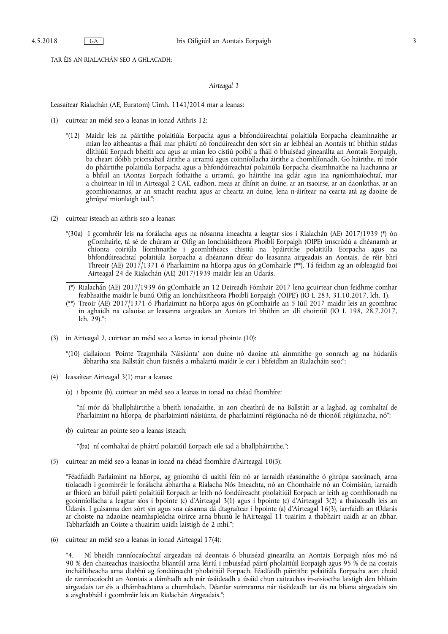TAR ÉIS AN RIALACHÁN SEO A GHLACADH:

#### *Airteagal 1*

Leasaítear Rialachán (AE, Euratom) Uimh. 1141/2014 mar a leanas:

- (1) cuirtear an méid seo a leanas in ionad Aithris 12:
	- "(12) Maidir leis na páirtithe polaitiúla Eorpacha agus a bhfondúireachtaí polaitiúla Eorpacha cleamhnaithe ar mian leo aitheantas a fháil mar pháirtí nó fondúireacht den sórt sin ar leibhéal an Aontais trí bhíthin stádas dlíthiúil Eorpach bheith acu agus ar mian leo cistiú poiblí a fháil ó bhuiséad ginearálta an Aontais Eorpaigh, ba cheart dóibh prionsabail áirithe a urramú agus coinníollacha áirithe a chomhlíonadh. Go háirithe, ní mór do pháirtithe polaitiúla Eorpacha agus a bhfondúireachtaí polaitiúla Eorpacha cleamhnaithe na luachanna ar a bhfuil an tAontas Eorpach fothaithe a urramú, go háirithe ina gclár agus ina ngníomhaíochtaí, mar a chuirtear in iúl in Airteagal 2 CAE, eadhon, meas ar dhínit an duine, ar an tsaoirse, ar an daonlathas, ar an gcomhionannas, ar an smacht reachta agus ar chearta an duine, lena n-áirítear na cearta atá ag daoine de ghrúpaí mionlaigh iad.";
- (2) cuirtear isteach an aithris seo a leanas:
	- "(30a) I gcomhréir leis na forálacha agus na nósanna imeachta a leagtar síos i Rialachán (AE) 2017/1939 (\*) ón gComhairle, tá sé de chúram ar Oifig an Ionchúisitheora Phoiblí Eorpaigh (OIPE) imscrúdú a dhéanamh ar chionta coiriúla líomhnaithe i gcomhthéacs chistiú na bpáirtithe polaitiúla Eorpacha agus na bhfondúireachtaí polaitiúla Eorpacha a dhéanann difear do leasanna airgeadais an Aontais, de réir bhrí Threoir (AE) 2017/1371 ó Pharlaimint na hEorpa agus ón gComhairle (\*\*). Tá feidhm ag an oibleagáid faoi Airteagal 24 de Rialachán (AE) 2017/1939 maidir leis an Údarás.
	- (\*) Rialachán (AE) 2017/1939 ón gComhairle an 12 Deireadh Fómhair 2017 lena gcuirtear chun feidhme comhar feabhsaithe maidir le bunú Oifig an Ionchúisitheora Phoiblí Eorpaigh ('OIPE') (IO L 283, 31.10.2017, lch. 1).
	- (\*\*) Treoir (AE) 2017/1371 ó Pharlaimint na hEorpa agus ón gComhairle an 5 Iúil 2017 maidir leis an gcomhrac in aghaidh na calaoise ar leasanna airgeadais an Aontais trí bhíthin an dlí choiriúil (IO L 198, 28.7.2017, lch. 29).";
- (3) in Airteagal 2, cuirtear an méid seo a leanas in ionad phointe (10):
	- "(10) ciallaíonn 'Pointe Teagmhála Náisiúnta' aon duine nó daoine atá ainmnithe go sonrach ag na húdaráis ábhartha sna Ballstáit chun faisnéis a mhalartú maidir le cur i bhfeidhm an Rialacháin seo;";
- (4) leasaítear Airteagal 3(1) mar a leanas:
	- (a) i bpointe (b), cuirtear an méid seo a leanas in ionad na chéad fhomhíre:

"ní mór dá bhallpháirtithe a bheith ionadaithe, in aon cheathrú de na Ballstáit ar a laghad, ag comhaltaí de Pharlaimint na hEorpa, de pharlaimintí náisiúnta, de pharlaimintí réigiúnacha nó de thionóil réigiúnacha, nó";

(b) cuirtear an pointe seo a leanas isteach:

"(ba) ní comhaltaí de pháirtí polaitiúil Eorpach eile iad a bhallpháirtithe,";

(5) cuirtear an méid seo a leanas in ionad na chéad fhomhíre d'Airteagal 10(3):

"Féadfaidh Parlaimint na hEorpa, ag gníomhú di uaithi féin nó ar iarraidh réasúnaithe ó ghrúpa saoránach, arna tíolacadh i gcomhréir le forálacha ábhartha a Rialacha Nós Imeachta, nó an Chomhairle nó an Coimisiún, iarraidh ar fhíorú an bhfuil páirtí polaitiúil Eorpach ar leith nó fondúireacht pholaitiúil Eorpach ar leith ag comhlíonadh na gcoinníollacha a leagtar síos i bpointe (c) d'Airteagal 3(1) agus i bpointe (c) d'Airteagal 3(2) a thaisceadh leis an Údarás. I gcásanna den sórt sin agus sna cásanna dá dtagraítear i bpointe (a) d'Airteagal 16(3), iarrfaidh an tÚdarás ar choiste na ndaoine neamhspleácha oirirce arna bhunú le hAirteagal 11 tuairim a thabhairt uaidh ar an ábhar. Tabharfaidh an Coiste a thuairim uaidh laistigh de 2 mhí.";

(6) cuirtear an méid seo a leanas in ionad Airteagal 17(4):

Ní bheidh ranníocaíochtaí airgeadais ná deontais ó bhuiséad ginearálta an Aontais Eorpaigh níos mó ná 90 % den chaiteachas inaisíoctha bliantúil arna léiriú i mbuiséad páirtí pholaitiúil Eorpaigh agus 95 % de na costais incháilitheacha arna dtabhú ag fondúireacht pholaitiúil Eorpach. Féadfaidh páirtithe polaitiúla Eorpacha aon chuid de ranníocaíocht an Aontais a dámhadh ach nár úsáideadh a úsáid chun caiteachas in-aisíoctha laistigh den bhliain airgeadais tar éis a dhámhachtana a chumhdach. Déanfar suimeanna nár úsáideadh tar éis na bliana airgeadais sin a aisghabháil i gcomhréir leis an Rialachán Airgeadais.";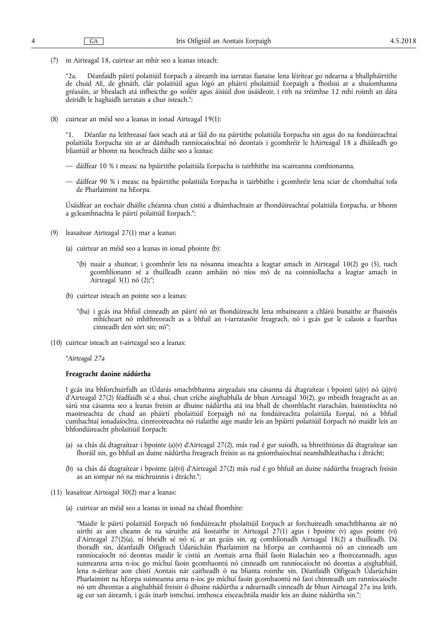(7) in Airteagal 18, cuirtear an mhír seo a leanas isteach:

"2a. Déanfaidh páirtí polaitiúil Eorpach a áireamh ina iarratas fianaise lena léirítear go ndearna a bhallpháirtithe de chuid AE, de ghnáth, clár polaitiúil agus lógó an pháirtí pholaitiúil Eorpaigh a fhoilsiú ar a shuíomhanna gréasáin, ar bhealach atá infheicthe go soiléir agus áisiúil don úsáideoir, i rith na tréimhse 12 mhí roimh an dáta deiridh le haghaidh iarratais a chur isteach.";

(8) cuirtear an méid seo a leanas in ionad Airteagal 19(1):

Déanfar na leithreasaí faoi seach atá ar fáil do na páirtithe polaitiúla Eorpacha sin agus do na fondúireachtaí polaitiúla Eorpacha sin ar ar dámhadh ranníocaíochtaí nó deontais i gcomhréir le hAirteagal 18 a dháileadh go bliantúil ar bhonn na heochrach dáilte seo a leanas:

- dáilfear 10 % i measc na bpáirtithe polaitiúla Eorpacha is tairbhithe ina scaireanna comhionanna,
- dáilfear 90 % i measc na bpáirtithe polaitiúla Eorpacha is tairbhithe i gcomhréir lena sciar de chomhaltaí tofa de Pharlaimint na hEorpa.

Úsáidfear an eochair dháilte chéanna chun cistiú a dhámhachtain ar fhondúireachtaí polaitiúla Eorpacha, ar bhonn a gcleamhnachta le páirtí polaitiúil Eorpach.";

- (9) leasaítear Airteagal 27(1) mar a leanas:
	- (a) cuirtear an méid seo a leanas in ionad phointe (b):
		- "(b) nuair a shuitear, i gcomhréir leis na nósanna imeachta a leagtar amach in Airteagal 10(2) go (5), nach gcomhlíonann sé a thuilleadh ceann amháin nó níos mó de na coinníollacha a leagtar amach in Airteagal 3(1) nó (2);";
	- (b) cuirtear isteach an pointe seo a leanas:
		- "(ba) i gcás ina bhfuil cinneadh an páirtí nó an fhondúireacht lena mbaineann a chlárú bunaithe ar fhaisnéis mhícheart nó mhíthreorach as a bhfuil an t-iarratasóir freagrach, nó i gcás gur le calaois a fuarthas cinneadh den sórt sin; nó";
- (10) cuirtear isteach an t-airteagal seo a leanas:

"*Airteagal 27a* 

#### **Freagracht daoine nádúrtha**

I gcás ina bhforchuirfidh an tÚdarás smachtbhanna airgeadais sna cásanna dá dtagraítear i bpointí (a)(v) nó (a)(vi) d'Airteagal 27(2) féadfaidh sé a shuí, chun críche aisghabhála de bhun Airteagal 30(2), go mbeidh freagracht as an sárú sna cásanna seo a leanas freisin ar dhuine nádúrtha atá ina bhall de chomhlacht riaracháin, bainistíochta nó maoirseachta de chuid an pháirtí pholaitiúil Eorpaigh nó na fondúireachta polaitiúla Eorpaí, nó a bhfuil cumhachtaí ionadaíochta, cinnteoireachta nó rialaithe aige maidir leis an bpáirtí polaitiúil Eorpach nó maidir leis an bhfondúireacht pholaitiúil Eorpach:

- (a) sa chás dá dtagraítear i bpointe (a)(v) d'Airteagal 27(2), más rud é gur suíodh, sa bhreithiúnas dá dtagraítear san fhoráil sin, go bhfuil an duine nádúrtha freagrach freisin as na gníomhaíochtaí neamhdhleathacha i dtrácht;
- (b) sa chás dá dtagraítear i bpointe (a)(vi) d'Airteagal 27(2) más rud é go bhfuil an duine nádúrtha freagrach freisin as an iompar nó na míchruinnis i dtrácht.";
- (11) leasaítear Airteagal 30(2) mar a leanas:
	- (a) cuirtear an méid seo a leanas in ionad na chéad fhomhíre:

"Maidir le páirtí polaitiúil Eorpach nó fondúireacht pholaitiúil Eorpach ar forchuireadh smachtbhanna air nó uirthi as aon cheann de na sáruithe atá liostaithe in Airteagal 27(1) agus i bpointe (v) agus pointe (vi) d'Airteagal 27(2)(a), ní bheidh sé nó sí, ar an gcúis sin, ag comhlíonadh Airteagal 18(2) a thuilleadh. Dá thoradh sin, déanfaidh Oifigeach Údarúcháin Pharlaimint na hEorpa an comhaontú nó an cinneadh um ranníocaíocht nó deontas maidir le cistiú an Aontais arna fháil faoin Rialachán seo a fhoirceannadh, agus suimeanna arna n-íoc go míchuí faoin gcomhaontú nó cinneadh um ranníocaíocht nó deontas a aisghabháil, lena n-áirítear aon chistí Aontais nár caitheadh ó na blianta roimhe sin. Déanfaidh Oifigeach Údarúcháin Pharlaimint na hEorpa suimeanna arna n-íoc go míchuí faoin gcomhaontú nó faoi chinneadh um ranníocaíocht nó um dheontas a aisghabháil freisin ó dhuine nádúrtha a ndearnadh cinneadh de bhun Airteagal 27a ina leith, ag cur san áireamh, i gcás inarb iomchuí, imthosca eisceachtúla maidir leis an duine nádúrtha sin.";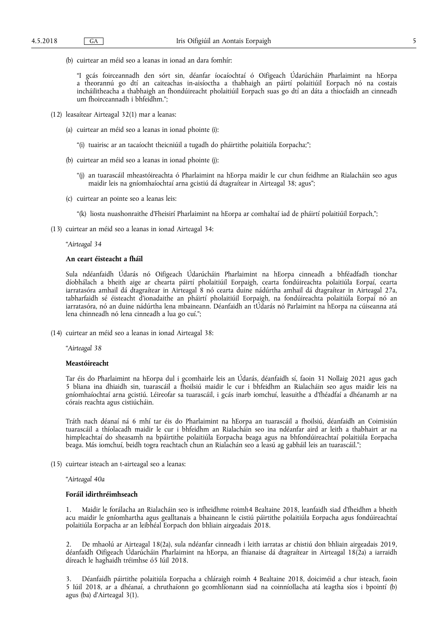(b) cuirtear an méid seo a leanas in ionad an dara fomhír:

"I gcás foirceannadh den sórt sin, déanfar íocaíochtaí ó Oifigeach Údarúcháin Pharlaimint na hEorpa a theorannú go dtí an caiteachas in-aisíoctha a thabhaigh an páirtí polaitiúil Eorpach nó na costais incháilitheacha a thabhaigh an fhondúireacht pholaitiúil Eorpach suas go dtí an dáta a thiocfaidh an cinneadh um fhoirceannadh i bhfeidhm.";

- (12) leasaítear Airteagal 32(1) mar a leanas:
	- (a) cuirtear an méid seo a leanas in ionad phointe (i):
		- "(i) tuairisc ar an tacaíocht theicniúil a tugadh do pháirtithe polaitiúla Eorpacha;";
	- (b) cuirtear an méid seo a leanas in ionad phointe (j):
		- "(j) an tuarascáil mheastóireachta ó Pharlaimint na hEorpa maidir le cur chun feidhme an Rialacháin seo agus maidir leis na gníomhaíochtaí arna gcistiú dá dtagraítear in Airteagal 38; agus";
	- (c) cuirtear an pointe seo a leanas leis:
		- "(k) liosta nuashonraithe d'Fheisirí Pharlaimint na hEorpa ar comhaltaí iad de pháirtí polaitiúil Eorpach,";
- (13) cuirtear an méid seo a leanas in ionad Airteagal 34:

"*Airteagal 34* 

### **An ceart éisteacht a fháil**

Sula ndéanfaidh Údarás nó Oifigeach Údarúcháin Pharlaimint na hEorpa cinneadh a bhféadfadh tionchar díobhálach a bheith aige ar chearta páirtí pholaitiúil Eorpaigh, cearta fondúireachta polaitiúla Eorpaí, cearta iarratasóra amhail dá dtagraítear in Airteagal 8 nó cearta duine nádúrtha amhail dá dtagraítear in Airteagal 27a, tabharfaidh sé éisteacht d'ionadaithe an pháirtí pholaitiúil Eorpaigh, na fondúireachta polaitiúla Eorpaí nó an iarratasóra, nó an duine nádúrtha lena mbaineann. Déanfaidh an tÚdarás nó Parlaimint na hEorpa na cúiseanna atá lena chinneadh nó lena cinneadh a lua go cuí.";

(14) cuirtear an méid seo a leanas in ionad Airteagal 38:

"*Airteagal 38* 

#### **Meastóireacht**

Tar éis do Pharlaimint na hEorpa dul i gcomhairle leis an Údarás, déanfaidh sí, faoin 31 Nollaig 2021 agus gach 5 bliana ina dhiaidh sin, tuarascáil a fhoilsiú maidir le cur i bhfeidhm an Rialacháin seo agus maidir leis na gníomhaíochtaí arna gcistiú. Léireofar sa tuarascáil, i gcás inarb iomchuí, leasuithe a d'fhéadfaí a dhéanamh ar na córais reachta agus cistiúcháin.

Tráth nach déanaí ná 6 mhí tar éis do Pharlaimint na hEorpa an tuarascáil a fhoilsiú, déanfaidh an Coimisiún tuarascáil a thíolacadh maidir le cur i bhfeidhm an Rialacháin seo ina ndéanfar aird ar leith a thabhairt ar na himpleachtaí do sheasamh na bpáirtithe polaitiúla Eorpacha beaga agus na bhfondúireachtaí polaitiúla Eorpacha beaga. Más iomchuí, beidh togra reachtach chun an Rialachán seo a leasú ag gabháil leis an tuarascáil.";

(15) cuirtear isteach an t-airteagal seo a leanas:

"*Airteagal 40a* 

#### **Foráil idirthréimhseach**

1. Maidir le forálacha an Rialacháin seo is infheidhme roimh4 Bealtaine 2018, leanfaidh siad d'fheidhm a bheith acu maidir le gníomhartha agus gealltanais a bhaineann le cistiú páirtithe polaitiúla Eorpacha agus fondúireachtaí polaitiúla Eorpacha ar an leibhéal Eorpach don bhliain airgeadais 2018.

2. De mhaolú ar Airteagal 18(2a), sula ndéanfar cinneadh i leith iarratas ar chistiú don bhliain airgeadais 2019, déanfaidh Oifigeach Údarúcháin Pharlaimint na hEorpa, an fhianaise dá dtagraítear in Airteagal 18(2a) a iarraidh díreach le haghaidh tréimhse ó5 Iúil 2018.

3. Déanfaidh páirtithe polaitiúla Eorpacha a chláraigh roimh 4 Bealtaine 2018, doiciméid a chur isteach, faoin 5 Iúil 2018, ar a dhéanaí, a chruthaíonn go gcomhlíonann siad na coinníollacha atá leagtha síos i bpointí (b) agus (ba) d'Airteagal 3(1).